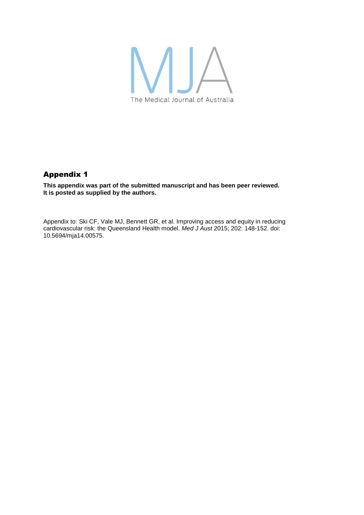

# Appendix 1

**This appendix was part of the submitted manuscript and has been peer reviewed. It is posted as supplied by the authors.**

Appendix to: Ski CF, Vale MJ, Bennett GR, et al. Improving access and equity in reducing cardiovascular risk: the Queensland Health model. *Med J Aust* 2015; 202: 148-152. doi: 10.5694/mja14.00575.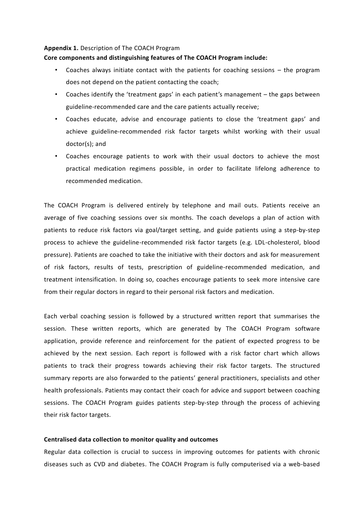#### **Appendix 1.** Description of The COACH Program

## **Core components and distinguishing features of The COACH Program include:**

- Coaches always initiate contact with the patients for coaching sessions  $-$  the program does not depend on the patient contacting the coach;
- Coaches identify the 'treatment gaps' in each patient's management the gaps between guideline-recommended care and the care patients actually receive;
- Coaches educate, advise and encourage patients to close the 'treatment gaps' and achieve guideline-recommended risk factor targets whilst working with their usual doctor(s); and
- Coaches encourage patients to work with their usual doctors to achieve the most practical medication regimens possible, in order to facilitate lifelong adherence to recommended medication.

The COACH Program is delivered entirely by telephone and mail outs. Patients receive an average of five coaching sessions over six months. The coach develops a plan of action with patients to reduce risk factors via goal/target setting, and guide patients using a step-by-step process to achieve the guideline-recommended risk factor targets (e.g. LDL-cholesterol, blood pressure). Patients are coached to take the initiative with their doctors and ask for measurement of risk factors, results of tests, prescription of guideline-recommended medication, and treatment intensification. In doing so, coaches encourage patients to seek more intensive care from their regular doctors in regard to their personal risk factors and medication.

Each verbal coaching session is followed by a structured written report that summarises the session. These written reports, which are generated by The COACH Program software application, provide reference and reinforcement for the patient of expected progress to be achieved by the next session. Each report is followed with a risk factor chart which allows patients to track their progress towards achieving their risk factor targets. The structured summary reports are also forwarded to the patients' general practitioners, specialists and other health professionals. Patients may contact their coach for advice and support between coaching sessions. The COACH Program guides patients step-by-step through the process of achieving their risk factor targets.

## **Centralised data collection to monitor quality and outcomes**

Regular data collection is crucial to success in improving outcomes for patients with chronic diseases such as CVD and diabetes. The COACH Program is fully computerised via a web-based